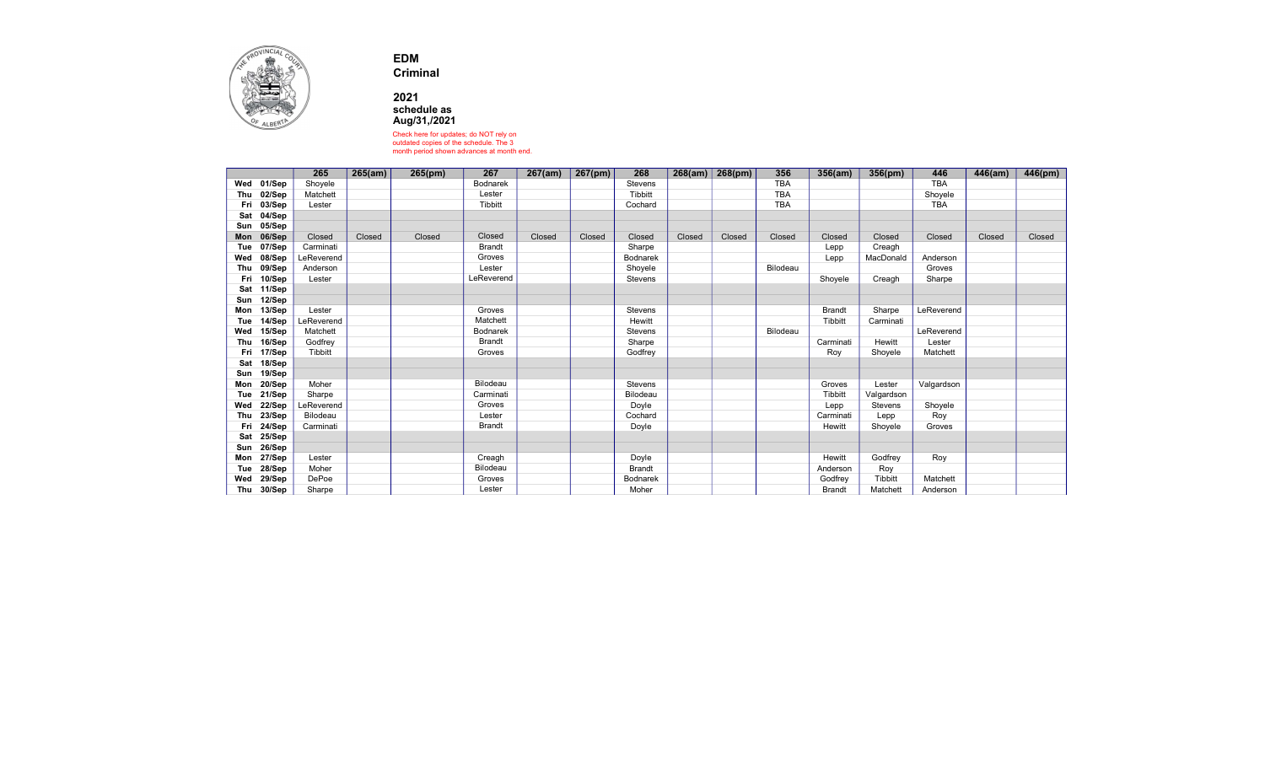

EDM

Criminal

2021 schedule as Aug/31,/2021

Check here for updates; do NOT rely on outdated copies of the schedule. The 3 month period shown advances at month end.

|     |        | 265        | 265(am) | 265(pm) | 267             | 267(am) | 267(pm) | 268           | 268(am) | 268(pm) | 356        | 356(am)       | 356(pm)        | 446        | 446(am) | 446(pm) |
|-----|--------|------------|---------|---------|-----------------|---------|---------|---------------|---------|---------|------------|---------------|----------------|------------|---------|---------|
| Wed | 01/Sep | Shoyele    |         |         | <b>Bodnarek</b> |         |         | Stevens       |         |         | <b>TBA</b> |               |                | <b>TBA</b> |         |         |
| Thu | 02/Sep | Matchett   |         |         | Lester          |         |         | Tibbitt       |         |         | <b>TBA</b> |               |                | Shoyele    |         |         |
| Fri | 03/Sep | Lester     |         |         | <b>Tibbitt</b>  |         |         | Cochard       |         |         | <b>TBA</b> |               |                | <b>TBA</b> |         |         |
| Sat | 04/Sep |            |         |         |                 |         |         |               |         |         |            |               |                |            |         |         |
| Sun | 05/Sep |            |         |         |                 |         |         |               |         |         |            |               |                |            |         |         |
| Mon | 06/Sep | Closed     | Closed  | Closed  | Closed          | Closed  | Closed  | Closed        | Closed  | Closed  | Closed     | Closed        | Closed         | Closed     | Closed  | Closed  |
| Tue | 07/Sep | Carminati  |         |         | <b>Brandt</b>   |         |         | Sharpe        |         |         |            | Lepp          | Creagh         |            |         |         |
| Wed | 08/Sep | LeReverend |         |         | Groves          |         |         | Bodnarek      |         |         |            | Lepp          | MacDonald      | Anderson   |         |         |
| Thu | 09/Sep | Anderson   |         |         | Lester          |         |         | Shoyele       |         |         | Bilodeau   |               |                | Groves     |         |         |
| Fri | 10/Sep | Lester     |         |         | LeReverend      |         |         | Stevens       |         |         |            | Shoyele       | Creagh         | Sharpe     |         |         |
| Sat | 11/Sep |            |         |         |                 |         |         |               |         |         |            |               |                |            |         |         |
| Sun | 12/Sep |            |         |         |                 |         |         |               |         |         |            |               |                |            |         |         |
| Mon | 13/Sep | Lester     |         |         | Groves          |         |         | Stevens       |         |         |            | <b>Brandt</b> | Sharpe         | LeReverend |         |         |
| Tue | 14/Sep | LeReverend |         |         | Matchett        |         |         | Hewitt        |         |         |            | Tibbitt       | Carminati      |            |         |         |
| Wed | 15/Sep | Matchett   |         |         | <b>Bodnarek</b> |         |         | Stevens       |         |         | Bilodeau   |               |                | LeReverend |         |         |
| Thu | 16/Sep | Godfrey    |         |         | <b>Brandt</b>   |         |         | Sharpe        |         |         |            | Carminati     | Hewitt         | Lester     |         |         |
| Fri | 17/Sep | Tibbitt    |         |         | Groves          |         |         | Godfrey       |         |         |            | Roy           | Shoyele        | Matchett   |         |         |
| Sat | 18/Sep |            |         |         |                 |         |         |               |         |         |            |               |                |            |         |         |
| Sun | 19/Sep |            |         |         |                 |         |         |               |         |         |            |               |                |            |         |         |
| Mon | 20/Sep | Moher      |         |         | Bilodeau        |         |         | Stevens       |         |         |            | Groves        | Lester         | Valgardson |         |         |
| Tue | 21/Sep | Sharpe     |         |         | Carminati       |         |         | Bilodeau      |         |         |            | Tibbitt       | Valgardson     |            |         |         |
| Wed | 22/Sep | LeReverend |         |         | Groves          |         |         | Doyle         |         |         |            | Lepp          | <b>Stevens</b> | Shoyele    |         |         |
| Thu | 23/Sep | Bilodeau   |         |         | Lester          |         |         | Cochard       |         |         |            | Carminati     | Lepp           | Roy        |         |         |
| Fri | 24/Sep | Carminati  |         |         | <b>Brandt</b>   |         |         | Doyle         |         |         |            | Hewitt        | Shoyele        | Groves     |         |         |
| Sat | 25/Sep |            |         |         |                 |         |         |               |         |         |            |               |                |            |         |         |
| Sun | 26/Sep |            |         |         |                 |         |         |               |         |         |            |               |                |            |         |         |
| Mon | 27/Sep | Lester     |         |         | Creagh          |         |         | Doyle         |         |         |            | Hewitt        | Godfrey        | Roy        |         |         |
| Tue | 28/Sep | Moher      |         |         | Bilodeau        |         |         | <b>Brandt</b> |         |         |            | Anderson      | Roy            |            |         |         |
| Wed | 29/Sep | DePoe      |         |         | Groves          |         |         | Bodnarek      |         |         |            | Godfrey       | Tibbitt        | Matchett   |         |         |
| Thu | 30/Sep | Sharpe     |         |         | Lester          |         |         | Moher         |         |         |            | <b>Brandt</b> | Matchett       | Anderson   |         |         |